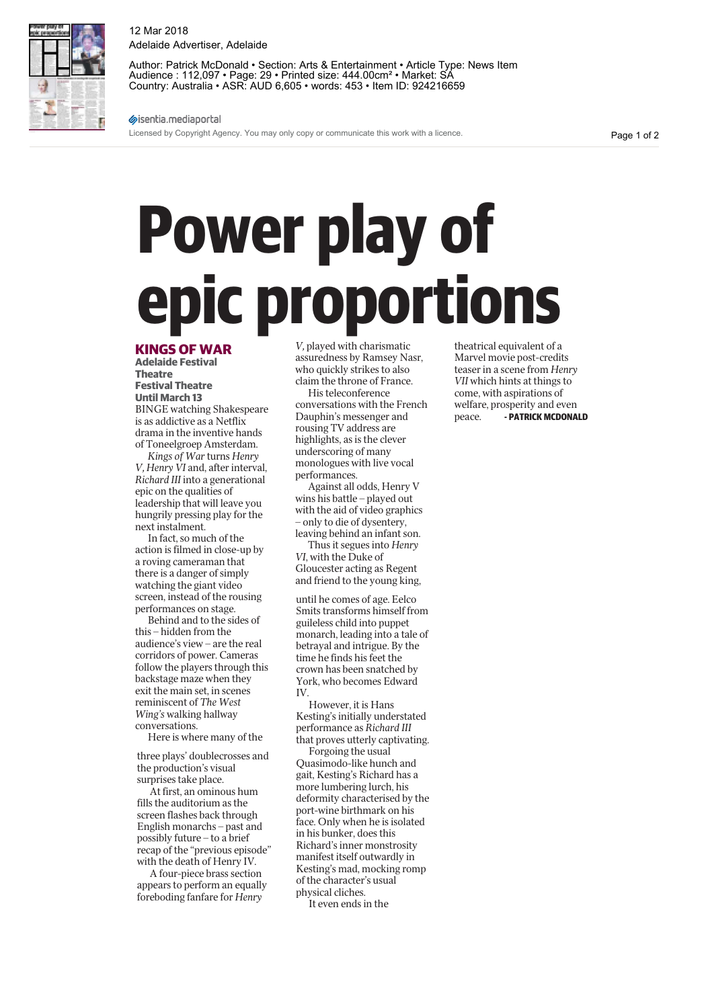## **Power play of epic proportions**

## **KINGS OF WAR**

**Adelaide Festival Theatre Festival Theatre Until March 13**

BINGE watching Shakespeare is as addictive as a Netflix drama in the inventive hands of Toneelgroep Amsterdam.

*Kings of War* turns *Henry V, Henry VI* and, after interval, *Richard III* into a generational epic on the qualities of leadership that will leave you hungrily pressing play for the next instalment.

In fact, so much of the action is filmed in close-up by a roving cameraman that there is a danger of simply watching the giant video screen, instead of the rousing performances on stage.

Behind and to the sides of this – hidden from the audience's view – are the real corridors of power. Cameras follow the players through this backstage maze when they exit the main set, in scenes reminiscent of *The West Wing's* walking hallway conversations.

Here is where many of the

three plays' doublecrosses and the production's visual surprises take place.

At first, an ominous hum fills the auditorium as the screen flashes back through English monarchs – past and possibly future – to a brief recap of the "previous episode" with the death of Henry IV.

A four-piece brass section appears to perform an equally foreboding fanfare for *Henry* 

*V,* played with charismatic assuredness by Ramsey Nasr, who quickly strikes to also claim the throne of France.

His teleconference conversations with the French Dauphin's messenger and rousing TV address are highlights, as is the clever underscoring of many monologues with live vocal performances.

Against all odds, Henry V wins his battle – played out with the aid of video graphics – only to die of dysentery, leaving behind an infant son.

Thus it segues into *Henry VI*, with the Duke of Gloucester acting as Regent and friend to the young king,

until he comes of age. Eelco Smits transforms himself from guileless child into puppet monarch, leading into a tale of betrayal and intrigue. By the time he finds his feet the crown has been snatched by York, who becomes Edward IV.

However, it is Hans Kesting's initially understated performance as *Richard III* that proves utterly captivating.

Forgoing the usual Quasimodo-like hunch and gait, Kesting's Richard has a more lumbering lurch, his deformity characterised by the port-wine birthmark on his face. Only when he is isolated in his bunker, does this Richard's inner monstrosity manifest itself outwardly in Kesting's mad, mocking romp of the character's usual physical cliches.

It even ends in the

theatrical equivalent of a Marvel movie post-credits teaser in a scene from *Henry VII* which hints at things to come, with aspirations of welfare, prosperity and even peace. **- PATRICK MCDONALD**